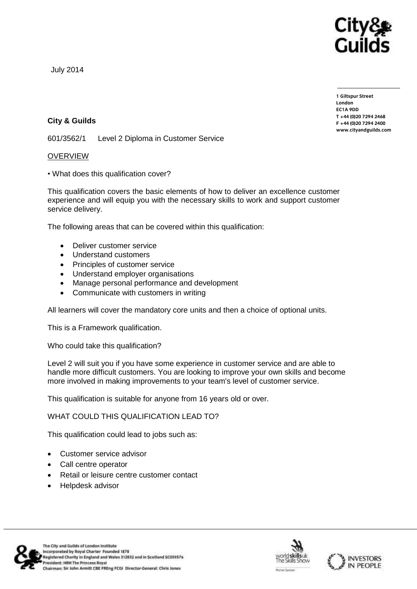

July 2014

**1 Giltspur Street EC1A 9DD**  $T + 44 (0)20 7294 2468$ **T +44 (0)20 7294 246[8](http://www.cityandguilds.com/)**  $www.cityandguilds.com$ 

**[www.cityandguilds.com](http://www.cityandguilds.com/)**

## **City & Guilds**

601/3562/1 Level 2 Diploma in Customer Service

## OVERVIEW

• What does this qualification cover?

This qualification covers the basic elements of how to deliver an excellence customer experience and will equip you with the necessary skills to work and support customer service delivery.

The following areas that can be covered within this qualification:

- Deliver customer service
- Understand customers
- Principles of customer service
- Understand employer organisations
- Manage personal performance and development
- Communicate with customers in writing

All learners will cover the mandatory core units and then a choice of optional units.

This is a Framework qualification.

Who could take this qualification?

Level 2 will suit you if you have some experience in customer service and are able to handle more difficult customers. You are looking to improve your own skills and become more involved in making improvements to your team's level of customer service.

This qualification is suitable for anyone from 16 years old or over.

WHAT COULD THIS QUALIFICATION LEAD TO?

This qualification could lead to jobs such as:

- Customer service advisor
- Call centre operator
- Retail or leisure centre customer contact
- Helpdesk advisor